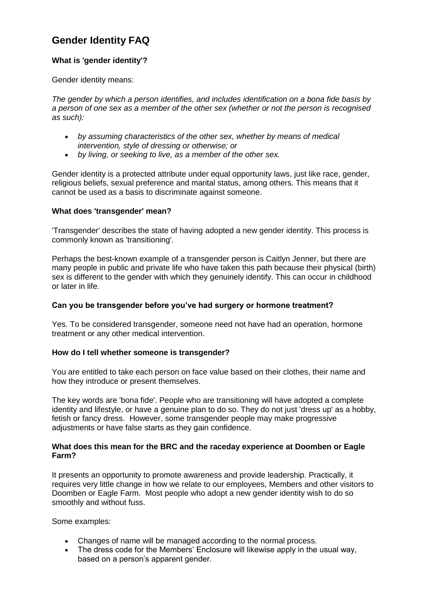# **Gender Identity FAQ**

## **What is 'gender identity'?**

Gender identity means:

*The gender by which a person identifies, and includes identification on a bona fide basis by a person of one sex as a member of the other sex (whether or not the person is recognised as such):*

- *by assuming characteristics of the other sex, whether by means of medical intervention, style of dressing or otherwise; or*
- *by living, or seeking to live, as a member of the other sex.*

Gender identity is a protected attribute under equal opportunity laws, just like race, gender, religious beliefs, sexual preference and marital status, among others. This means that it cannot be used as a basis to discriminate against someone.

### **What does 'transgender' mean?**

'Transgender' describes the state of having adopted a new gender identity. This process is commonly known as 'transitioning'.

Perhaps the best-known example of a transgender person is Caitlyn Jenner, but there are many people in public and private life who have taken this path because their physical (birth) sex is different to the gender with which they genuinely identify. This can occur in childhood or later in life.

### **Can you be transgender before you've had surgery or hormone treatment?**

Yes. To be considered transgender, someone need not have had an operation, hormone treatment or any other medical intervention.

### **How do I tell whether someone is transgender?**

You are entitled to take each person on face value based on their clothes, their name and how they introduce or present themselves.

The key words are 'bona fide'. People who are transitioning will have adopted a complete identity and lifestyle, or have a genuine plan to do so. They do not just 'dress up' as a hobby, fetish or fancy dress. However, some transgender people may make progressive adjustments or have false starts as they gain confidence.

#### **What does this mean for the BRC and the raceday experience at Doomben or Eagle Farm?**

It presents an opportunity to promote awareness and provide leadership. Practically, it requires very little change in how we relate to our employees, Members and other visitors to Doomben or Eagle Farm. Most people who adopt a new gender identity wish to do so smoothly and without fuss.

Some examples:

- Changes of name will be managed according to the normal process.
- The dress code for the Members' Enclosure will likewise apply in the usual way, based on a person's apparent gender.